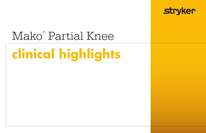

# Mako® Partial Knee

# **clinical highlights**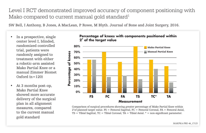Level I RCT demonstrated improved accuracy of component positioning with Mako compared to current manual gold standard<sup>1</sup>

SW Bell, I Anthony, B Jones, A MacLean, P Rowe, M Blyth. Journal of Bone and Joint Surgery, 2016.

- In a prospective, single center level I, blinded, randomized controlled trial, patients were randomly assigned to treatment with either a robotic-arm assisted Mako Partial Knee or a manual Zimmer Biomet Oxford  $(n=120)$
- At 3 months post-op, Mako Partial Knee showed more accurate delivery of the surgical plan in all alignment measures, compared to the current manual gold standard



Comparison of surgical procedures showing greater percentage of Mako Partial Knee within  $2^{\circ}$ of planned target value. FS = Femoral Sagittal, FC = Femoral Coronal, FA = Femoral Axial,  $TS =$  Tibial Sagittal,  $TC =$  Tibial Coronal,  $TA =$  Tibial Axial.  $* =$  non-significant parameter.

#### **Percentage of knees with components positioned within 2o of the target value**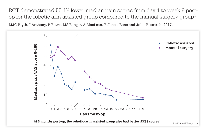RCT demonstrated 55.4% lower median pain scores from day 1 to week 8 postop for the robotic-arm assisted group compared to the manual surgery group<sup>2</sup> MJG Blyth, I Anthony, P Rowe, MS Banger, A MacLean, B Jones. Bone and Joint Research, 2017.





MAKPKA-PRE-46\_17125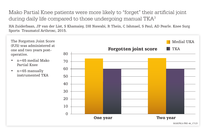Mako Partial Knee patients were more likely to "forget" their artificial joint during daily life compared to those undergoing manual TKA<sup>3</sup>

HA Zuiderbaan, JP van der List, S Khamaisy, DH Nawabi, R Thein, C Ishmael, S Paul, AD Pearle. Knee Surg Sports Traumatol Arthrosc, 2015.

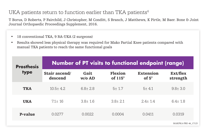### UKA patients return to function earlier than TKA patients<sup>4</sup>

T Borus, D Roberts, P Fairchild, J Christopher, M Conditt, S Branch, J Matthews, K Pirtle, M Baer. Bone & Joint Journal Orthopaedic Proceedings Supplement, 2016.

- 18 conventional TKA, 9 RA-UKA (2 surgeons)
- Results showed less physical therapy was required for Mako Partial Knee patients compared with manual TKA patients to reach the same functional goals

| <b>Prosthesis</b><br>type | <b>Number of PT visits to functional endpoint (range)</b> |                |                                  |                                  |                      |  |
|---------------------------|-----------------------------------------------------------|----------------|----------------------------------|----------------------------------|----------------------|--|
|                           | Stair ascend/<br>descend                                  | Gait<br>w/o AD | <b>Flexion</b><br>of $115^\circ$ | <b>Extension</b><br>of $5^\circ$ | Ext/flex<br>strength |  |
| <b>TKA</b>                | $10.5 \pm 4.2$                                            | $6.8 \pm 2.8$  | 5±1.7                            | $5 + 4.1$                        | $9.8 \pm 3.0$        |  |
| <b>UKA</b>                | $7.1 \pm 16$                                              | $3.8 \pm 1.6$  | $3.8 \pm 2.1$                    | $2.4 \pm 1.4$                    | $6.4 \pm 1.8$        |  |
| <b>P-value</b>            | 0.02.77                                                   | 0.0022         | 0.0004                           | 0.0411                           | 0.0319               |  |
|                           |                                                           |                |                                  |                                  | MAKPKA-PRE-46 17125  |  |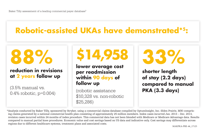## **Robotic-assisted UKAs have demonstrated\*5:**



### **reduction in revisions at 2 years follow up**

(3.5% manual vs. 0.4% robotic, p=0.004)



**lower average cost per readmission within 90 days of follow up**

(robotic assistance \$10,328 vs. non-robotic \$25,286)

**33%** 

**shorter length of stay (2.2 days) compared to manual PKA (3.3 days)**

\*Analysis conducted by Baker Tilly, sponsored by Stryker, using a commercial claims database compiled by OptumInsight, Inc. (Eden Prairie, MN) comprising claims generated by a national commercial health plan consisting of approximately 25 million members. Index cases incurred Jan. 2013 – Dec. 2013, revision cases incurred within 24 months of index procedure. This commercial data has not been blended with Medicare or Medicare Advantage data. Results compared to manual partial knee procedures. Economic value and cost savings based on US data and indicative only. Cost savings may differentiate across regions due to different healthcare systems, treatment plans and associated costs.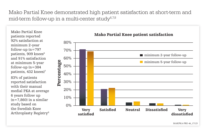Mako Partial Knee demonstrated high patient satisfaction at short-term and mid-term follow-up in a multi-center study $6.7,8$ 

Mako Partial Knee patients reported 92% satisfaction at minimum 2-year follow-up  $(n=797)$ patients, 909 knees<sup>6</sup> and 91% satisfaction at minimum 5-year follow-up  $(n=384)$ patients, 432 knees)<sup>7</sup> 83% of patients reported satisfaction with their manual medial PKA at average 6 years follow up  $(n=7,860)$  in a similar study based on the Swedish Knee Arthroplasty Registry8



#### Mako Partial Knee patient satisfaction

MAKPKA-PRE-46\_17125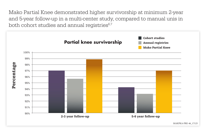Mako Partial Knee demonstrated higher survivorship at minimum 2-year and 5-year follow-up in a multi-center study, compared to manual unis in both cohort studies and annual registries<sup>6,7</sup>



MAKPKA-PRE-46\_17125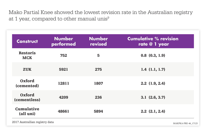Mako Partial Knee showed the lowest revision rate in the Australian registry at 1 year, compared to other manual unis<sup>9</sup>

| <b>Construct</b>               | <b>Number</b><br>performed | <b>Number</b><br>revised | <b>Cumulative % revision</b><br>rate @ 1 year |
|--------------------------------|----------------------------|--------------------------|-----------------------------------------------|
| <b>Restoris</b><br><b>MCK</b>  | 752                        | 5                        | $0.8$ $(0.3, 1.9)$                            |
| <b>ZUK</b>                     | 5921                       | 275                      | 1.4(1.1, 1.7)                                 |
| Oxford<br>(cemented)           | 12811                      | 1807                     | 2.2(1.9, 2.4)                                 |
| Oxford<br>(cementless)         | 4209                       | 236                      | $3.1$ $(2.6, 3.7)$                            |
| <b>Cumulative</b><br>(all uni) | 48661                      | 5894                     | $2.2$ $(2.1, 2.4)$                            |

2017 Austrailian registry data MAKPKA-PRE-46\_17125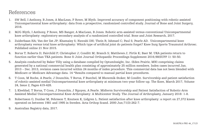### References

- 1. SW Bell, I Anthony, B Jones, A MacLean, P Rowe, M Blyth. Improved accuracy of component positioning with robotic-assisted Unicompartmental knee arthroplasty: data from a prospective, randomized controlled study. Journal of Bone and Joint Surgery, 2016.
- 2. MJG Blyth, I Anthony, P Rowe, MS Banger, A MacLean, B Jones. Robotic arm-assisted versus conventional Unicompartmental knee arthroplasty: exploratory secondary analysis of a randomized controlled trial. Bone and Joint Research, 2017.
- 3. Zuiderbaan HA; Van der list JP; Khamaisy S; Nawabi DH; Thein R; Ishmael C; Paul S; Pearle AD. Unicompartmental knee arthroplasty versus total knee arthroplasty: Which type of artificial joint do patients forget? Knee Surg Sports Traumutol Arthrosc. Published online 21 Nov 2015.
- 4. Borus T; Roberts D; Fairchild P; Christopher J; Conditt M; Branch S; Matthews J; Pirtle K; Baer M. UKA patients return to function earlier than TKA patients. Bone & Joint Journal Orthopaedic Proceedings Supplement 2016;98(SUPP 1): 50-50.
- 5. Analysis conducted by Baker Tilly using a database compiled by OptumInsight, Inc. (Eden Prairie, MN) comprising claims generated by a national commercial health plan consisting of approximately 25 million members. Index cases incurred Jan. 2013 – Dec. 2013, revision cases incurred within 24 months of index procedure. This commercial data has not been blended with Medicare or Medicare Advantage data. 14 \*Results compared to manual partial knee procedures.
- 6. T Coon, M Roche, A Pearle, J Dounchis, T Borus, F Buechel, M Bhowmik-Stoker, M Conditt. Survivorship and patient satisfaction of robotic-assisted medial Unicompartmental knee arthroplasty at minimum two-year follow-up. The Knee, March 2017, Volume 24, Issue 2, Pages 419-428.
- 7. L Kleeblad, T Borus, T Coon, J Dounchis, J Nguyen, A Pearle. Midterm Survivorship and Patient Satisfaction of Robotic-Arm Assisted Medial Unicompartmental Knee Arthroplasty: A Multicenter Study. The Journal of Arthroplasty, January 2018: 1-8.
- 8. Robertsson O, Dunbar M, Pehrsson T, Knutson K, Lidgren L. Patient satisfaction after knee arthroplasty: a report on 27,372 knees operated on between 1981 and 1995 in Sweden. Acta Orthop Scand. 2000 Jun;71(3):262-7.
- 9. Australian Registry data, 2017.